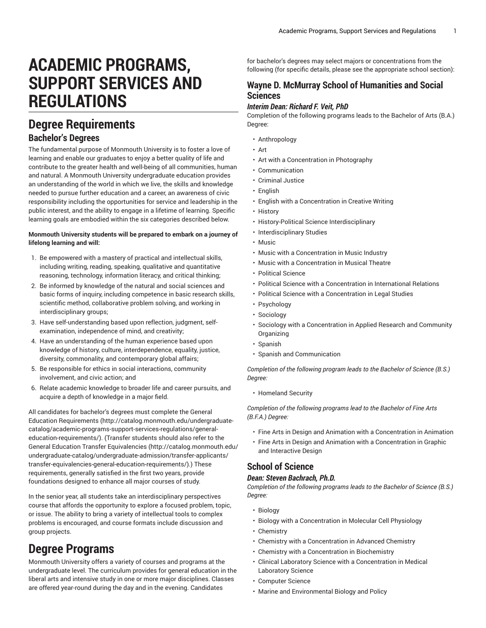# **ACADEMIC PROGRAMS, SUPPORT SERVICES AND REGULATIONS**

## **Degree Requirements Bachelor's Degrees**

The fundamental purpose of Monmouth University is to foster a love of learning and enable our graduates to enjoy a better quality of life and contribute to the greater health and well-being of all communities, human and natural. A Monmouth University undergraduate education provides an understanding of the world in which we live, the skills and knowledge needed to pursue further education and a career, an awareness of civic responsibility including the opportunities for service and leadership in the public interest, and the ability to engage in a lifetime of learning. Specific learning goals are embodied within the six categories described below.

#### **Monmouth University students will be prepared to embark on a journey of lifelong learning and will:**

- 1. Be empowered with a mastery of practical and intellectual skills, including writing, reading, speaking, qualitative and quantitative reasoning, technology, information literacy, and critical thinking;
- 2. Be informed by knowledge of the natural and social sciences and basic forms of inquiry, including competence in basic research skills, scientific method, collaborative problem solving, and working in interdisciplinary groups;
- 3. Have self-understanding based upon reflection, judgment, selfexamination, independence of mind, and creativity;
- 4. Have an understanding of the human experience based upon knowledge of history, culture, interdependence, equality, justice, diversity, commonality, and contemporary global affairs;
- 5. Be responsible for ethics in social interactions, community involvement, and civic action; and
- 6. Relate academic knowledge to broader life and career pursuits, and acquire a depth of knowledge in a major field.

All candidates for bachelor's degrees must complete the [General](http://catalog.monmouth.edu/undergraduate-catalog/academic-programs-support-services-regulations/general-education-requirements/) Education [Requirements](http://catalog.monmouth.edu/undergraduate-catalog/academic-programs-support-services-regulations/general-education-requirements/) ([http://catalog.monmouth.edu/undergraduate](http://catalog.monmouth.edu/undergraduate-catalog/academic-programs-support-services-regulations/general-education-requirements/)[catalog/academic-programs-support-services-regulations/general](http://catalog.monmouth.edu/undergraduate-catalog/academic-programs-support-services-regulations/general-education-requirements/)[education-requirements/\)](http://catalog.monmouth.edu/undergraduate-catalog/academic-programs-support-services-regulations/general-education-requirements/). (Transfer students should also refer to the General Education Transfer [Equivalencies](http://catalog.monmouth.edu/undergraduate-catalog/undergraduate-admission/transfer-applicants/transfer-equivalencies-general-education-requirements/) ([http://catalog.monmouth.edu/](http://catalog.monmouth.edu/undergraduate-catalog/undergraduate-admission/transfer-applicants/transfer-equivalencies-general-education-requirements/) [undergraduate-catalog/undergraduate-admission/transfer-applicants/](http://catalog.monmouth.edu/undergraduate-catalog/undergraduate-admission/transfer-applicants/transfer-equivalencies-general-education-requirements/) [transfer-equivalencies-general-education-requirements/](http://catalog.monmouth.edu/undergraduate-catalog/undergraduate-admission/transfer-applicants/transfer-equivalencies-general-education-requirements/))*.*) These requirements, generally satisfied in the first two years, provide foundations designed to enhance all major courses of study.

In the senior year, all students take an interdisciplinary perspectives course that affords the opportunity to explore a focused problem, topic, or issue. The ability to bring a variety of intellectual tools to complex problems is encouraged, and course formats include discussion and group projects.

## **Degree Programs**

Monmouth University offers a variety of courses and programs at the undergraduate level. The curriculum provides for general education in the liberal arts and intensive study in one or more major disciplines. Classes are offered year-round during the day and in the evening. Candidates

for bachelor's degrees may select majors or concentrations from the following (for specific details, please see the appropriate school section):

## **Wayne D. McMurray School of Humanities and Social Sciences**

### *Interim Dean: Richard F. Veit, PhD*

Completion of the following programs leads to the Bachelor of Arts (B.A.) Degree:

- Anthropology
- Art
- Art with a Concentration in Photography
- Communication
- Criminal Justice
- English
- English with a Concentration in Creative Writing
- History
- History-Political Science Interdisciplinary
- Interdisciplinary Studies
- Music
- Music with a Concentration in Music Industry
- Music with a Concentration in Musical Theatre
- Political Science
- Political Science with a Concentration in International Relations
- Political Science with a Concentration in Legal Studies
- Psychology
- Sociology
- Sociology with a Concentration in Applied Research and Community Organizing
- Spanish
- Spanish and Communication

*Completion of the following program leads to the Bachelor of Science (B.S.) Degree:*

• Homeland Security

*Completion of the following programs lead to the Bachelor of Fine Arts (B.F.A.) Degree:*

- Fine Arts in Design and Animation with a Concentration in Animation
- Fine Arts in Design and Animation with a Concentration in Graphic and Interactive Design

## **School of Science**

#### *Dean: Steven Bachrach, Ph.D.*

*Completion of the following programs leads to the Bachelor of Science (B.S.) Degree:*

- Biology
- Biology with a Concentration in Molecular Cell Physiology
- Chemistry
- Chemistry with a Concentration in Advanced Chemistry
- Chemistry with a Concentration in Biochemistry
- Clinical Laboratory Science with a Concentration in Medical Laboratory Science
- Computer Science
- Marine and Environmental Biology and Policy